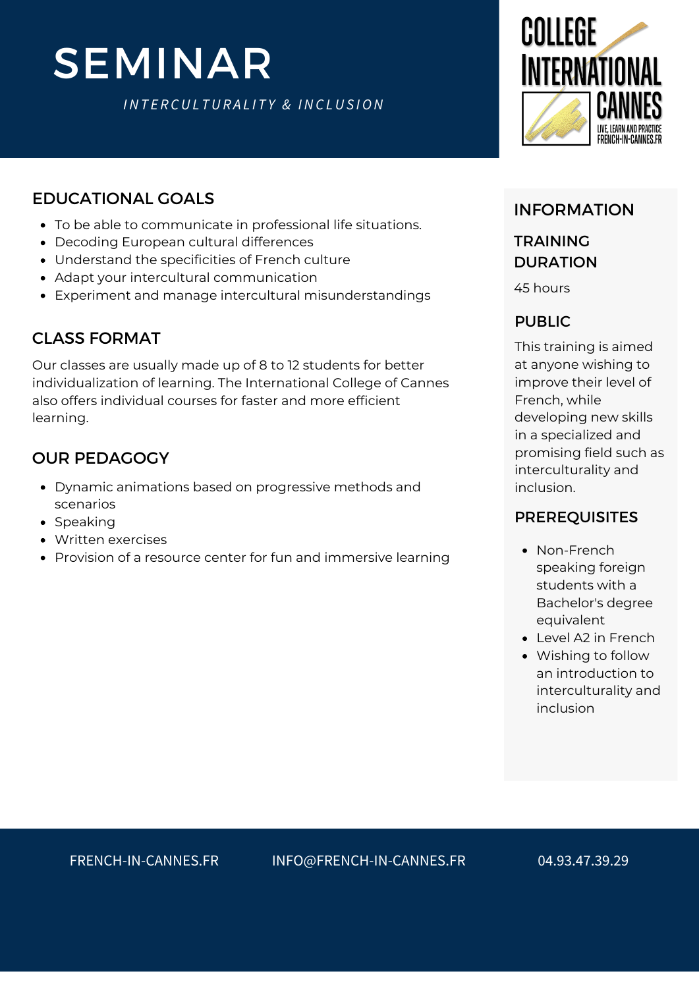# SEMINAR

*INT E R CUL TUR A L I T Y & INC LUS ION*



### EDUCATIONAL GOALS

- To be able to communicate in professional life situations.
- Decoding European cultural differences
- Understand the specificities of French culture
- Adapt your intercultural communication
- Experiment and manage intercultural misunderstandings

## CLASS FORMAT

Our classes are usually made up of 8 to 12 students for better individualization of learning. The International College of Cannes also offers individual courses for faster and more efficient learning.

## OUR PEDAGOGY

- Dynamic animations based on progressive methods and scenarios
- Speaking
- Written exercises
- Provision of a resource center for fun and immersive learning

### INFORMATION

# TRAINING **DURATION**

45 hours

#### PUBLIC

This training is aimed at anyone wishing to improve their level of French, while developing new skills in a specialized and promising field such as interculturality and inclusion.

### [PREREQUISITES](https://college360fr.wpcomstaging.com/en/francais-economie-bleue/)

- Non-French speaking foreign students with a Bachelor's degree equivalent
- Level A2 in French
- Wishing to follow an introduction to interculturality and inclusion

FRENCH-IN-CANNES.FR INFO@FRENCH-IN-CANNES.FR 04.93.47.39.29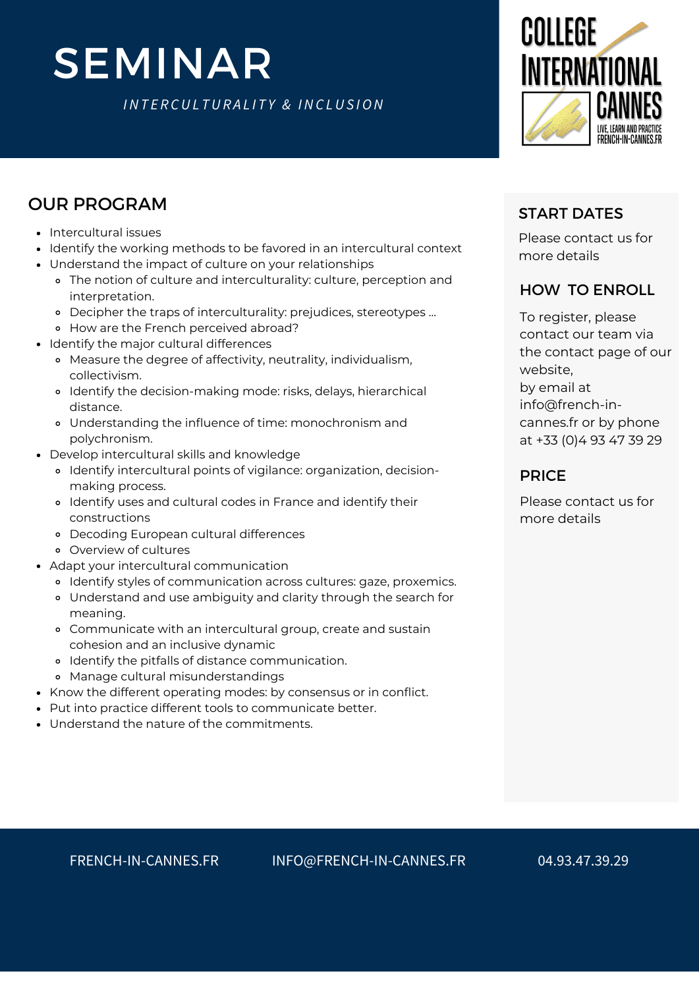# SEMINAR

*INT E R CUL TUR A L I T Y & INC LUS ION*



# OUR PROGRAM

- Intercultural issues
- Identify the working methods to be favored in an intercultural context
- Understand the impact of culture on your relationships
	- The notion of culture and interculturality: culture, perception and interpretation.
	- Decipher the traps of interculturality: prejudices, stereotypes ...
	- How are the French perceived abroad?
- Identify the major cultural differences
	- Measure the degree of affectivity, neutrality, individualism, collectivism.
	- Identify the decision-making mode: risks, delays, hierarchical distance.
	- Understanding the influence of time: monochronism and polychronism.
- Develop intercultural skills and knowledge
	- Identify intercultural points of vigilance: organization, decisionmaking process.
	- Identify uses and cultural codes in France and identify their constructions
	- Decoding European cultural differences
	- Overview of cultures
- Adapt your intercultural communication
	- Identify styles of communication across cultures: gaze, proxemics.
	- Understand and use ambiguity and clarity through the search for meaning.
	- Communicate with an intercultural group, create and sustain cohesion and an inclusive dynamic
	- o Identify the pitfalls of distance communication.
	- Manage cultural misunderstandings
- Know the different operating modes: by consensus or in conflict.
- Put into practice different tools to communicate better.
- Understand the nature of the commitments.

Please contact us for more details

### HOW TO ENROLL

START DATES<br>
START DATES<br>
Please contact under<br>
rour relationships<br>
turality, culture, perception and<br>
turality, iculture, perception and<br>
turality, individualism,<br>
the contact our team<br>
contact our team<br>
entrality, indivi To register, please contact our team via the contact page of our website, by email at info@french-incannes.fr or by phone at +33 (0)4 93 47 39 29

#### PRICE

Please contact us for more details

FRENCH-IN-CANNES.FR INFO@FRENCH-IN-CANNES.FR 04.93.47.39.29